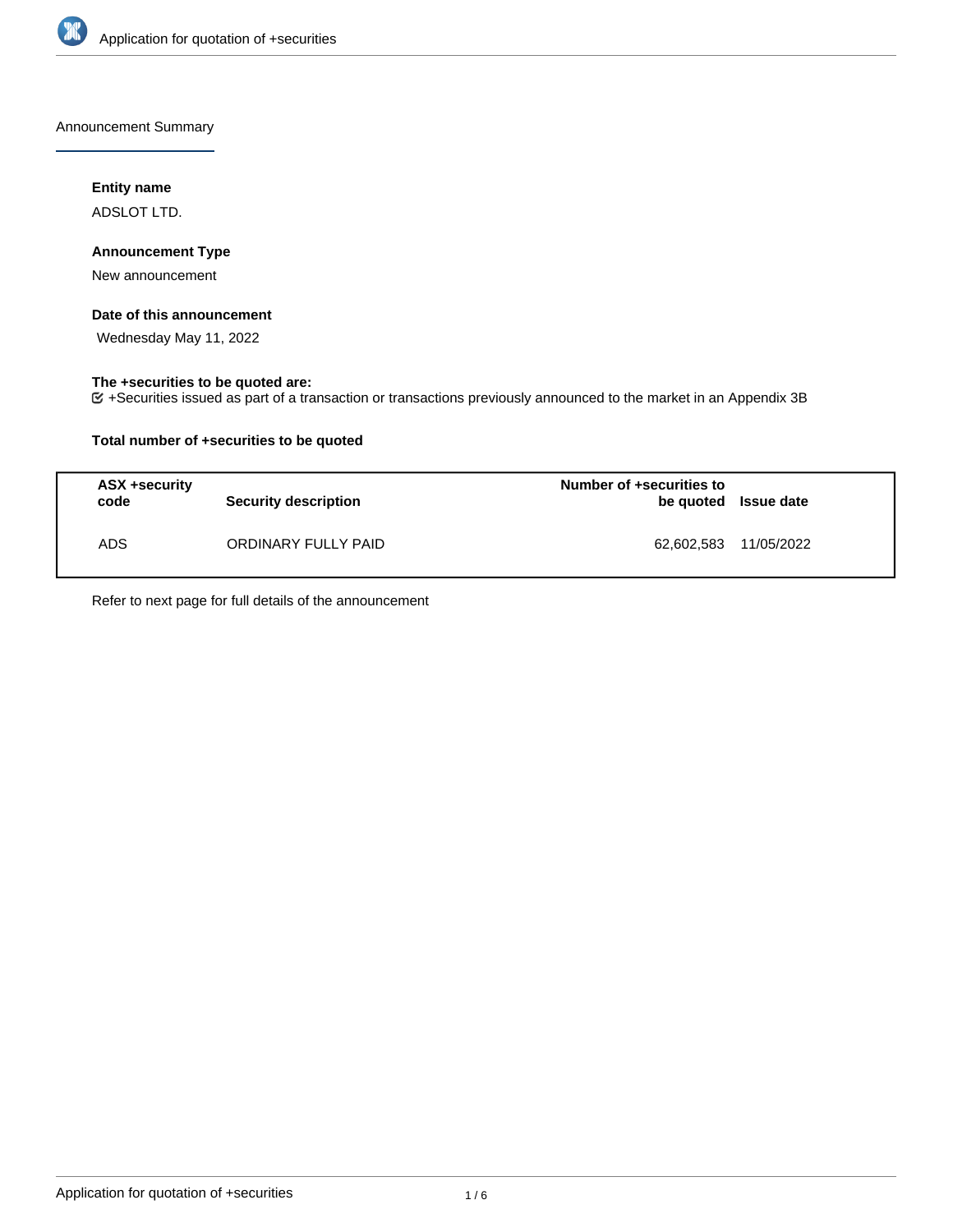

Announcement Summary

## **Entity name**

ADSLOT LTD.

## **Announcement Type**

New announcement

#### **Date of this announcement**

Wednesday May 11, 2022

## **The +securities to be quoted are:**

+Securities issued as part of a transaction or transactions previously announced to the market in an Appendix 3B

## **Total number of +securities to be quoted**

| ASX +security<br>code | <b>Security description</b> | Number of +securities to<br>be quoted Issue date |  |
|-----------------------|-----------------------------|--------------------------------------------------|--|
| ADS.                  | ORDINARY FULLY PAID         | 62,602,583 11/05/2022                            |  |

Refer to next page for full details of the announcement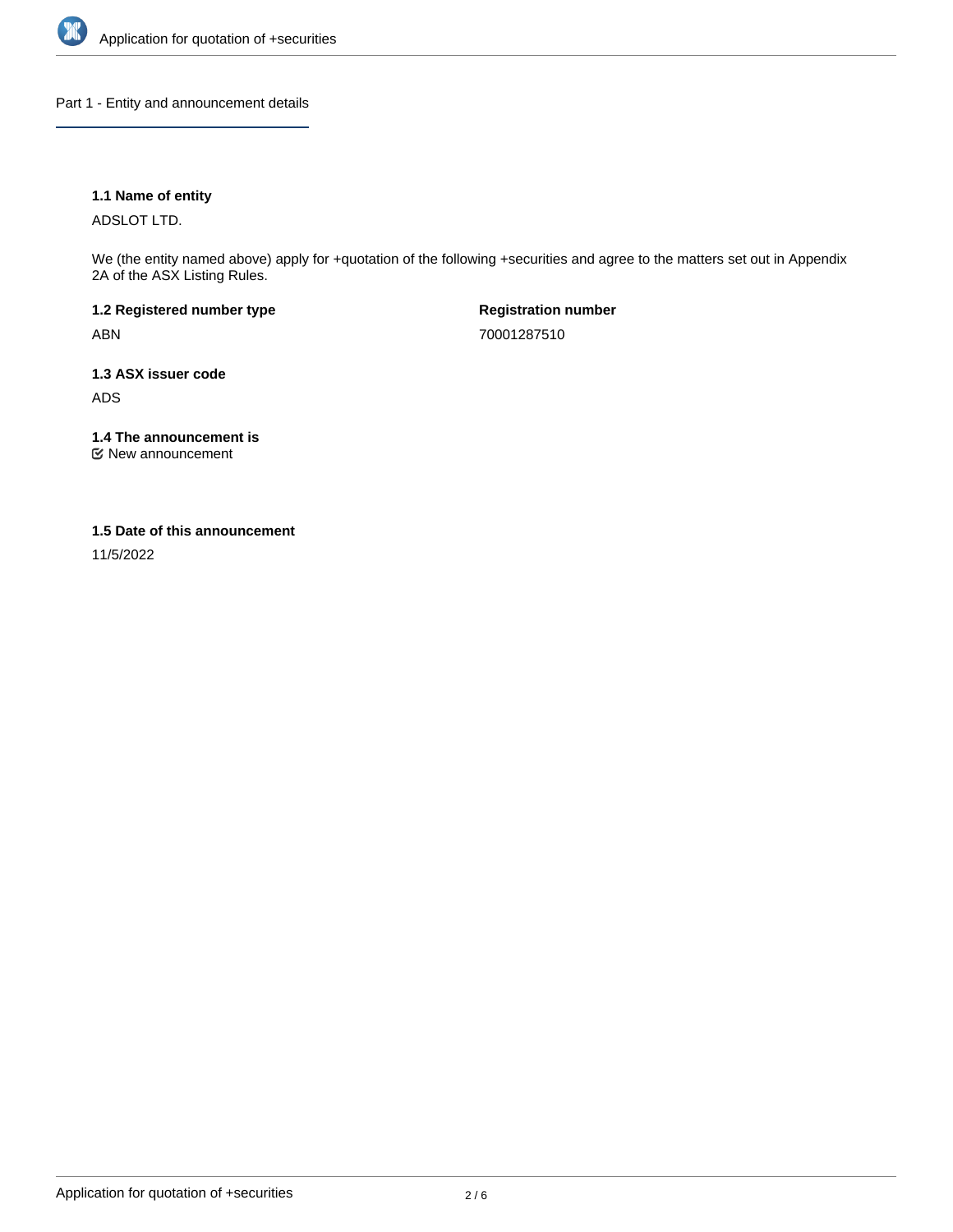

Part 1 - Entity and announcement details

## **1.1 Name of entity**

ADSLOT LTD.

We (the entity named above) apply for +quotation of the following +securities and agree to the matters set out in Appendix 2A of the ASX Listing Rules.

**1.2 Registered number type** ABN

**Registration number** 70001287510

**1.3 ASX issuer code** ADS

**1.4 The announcement is**

New announcement

## **1.5 Date of this announcement**

11/5/2022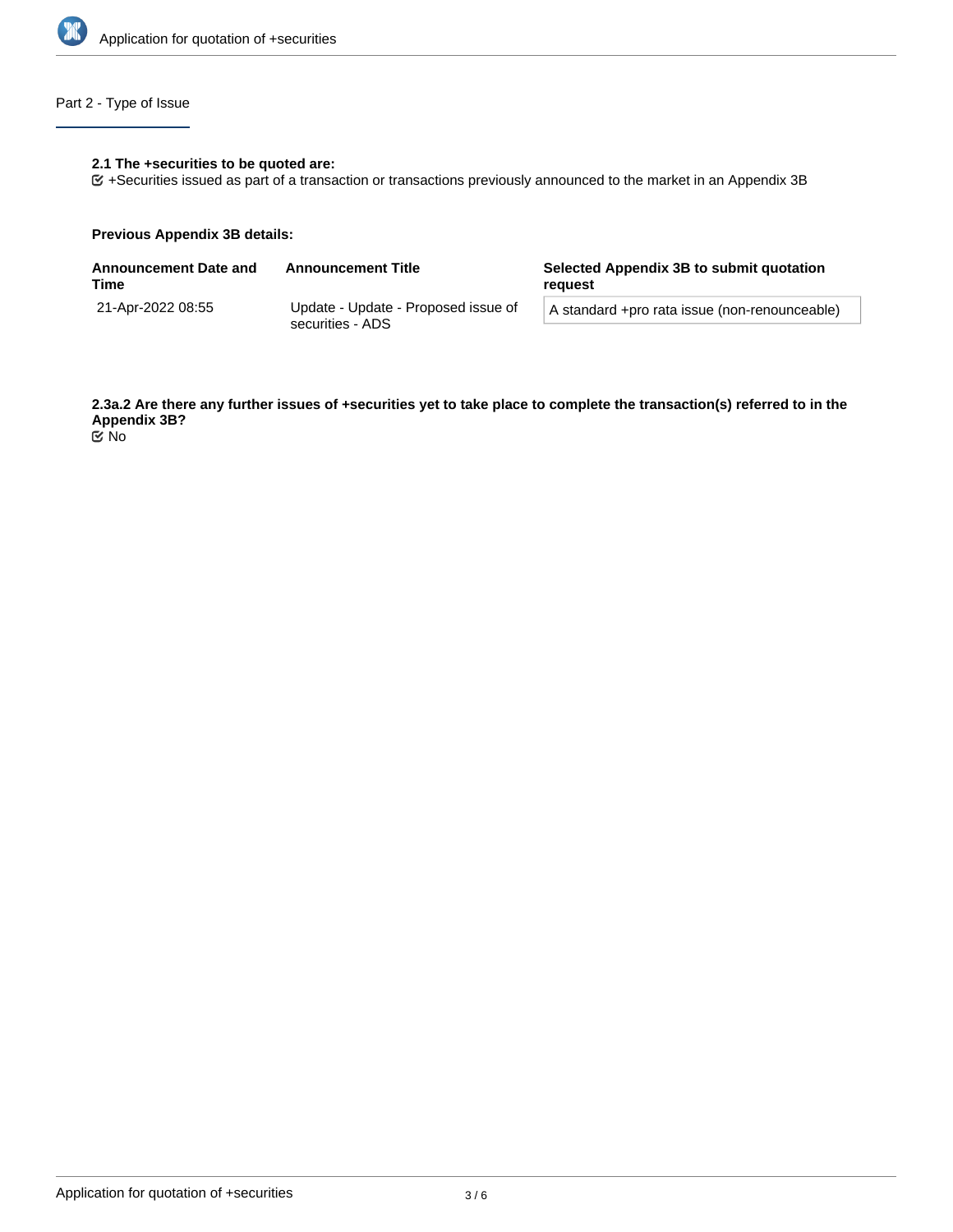

# Part 2 - Type of Issue

## **2.1 The +securities to be quoted are:**

+Securities issued as part of a transaction or transactions previously announced to the market in an Appendix 3B

#### **Previous Appendix 3B details:**

| <b>Announcement Date and</b><br>Time | <b>Announcement Title</b>                               | Selected Appendix 3B to submit quotation<br>reguest |  |
|--------------------------------------|---------------------------------------------------------|-----------------------------------------------------|--|
| 21-Apr-2022 08:55                    | Update - Update - Proposed issue of<br>securities - ADS | A standard +pro rata issue (non-renounceable)       |  |
|                                      |                                                         |                                                     |  |

**2.3a.2 Are there any further issues of +securities yet to take place to complete the transaction(s) referred to in the Appendix 3B?** No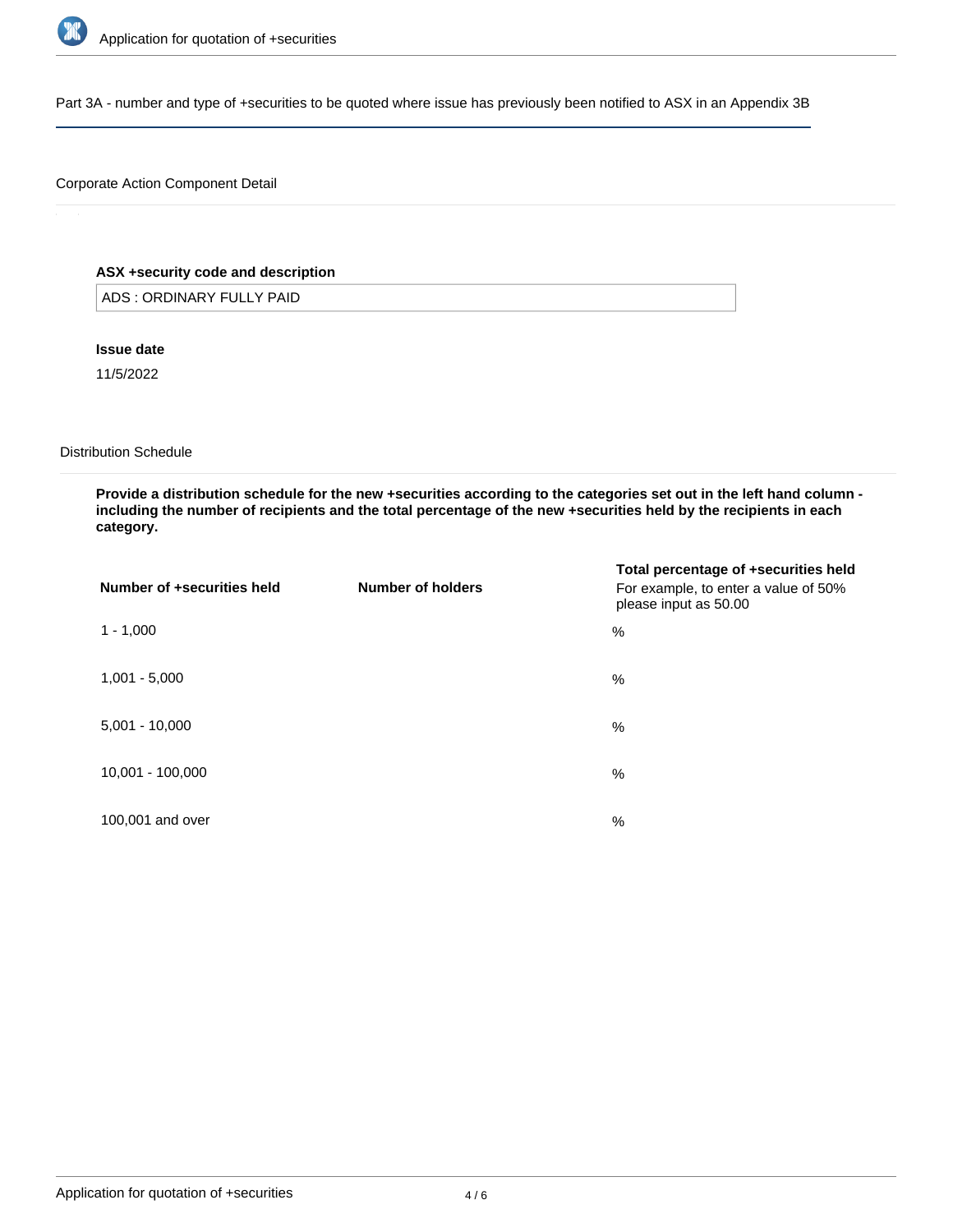

Part 3A - number and type of +securities to be quoted where issue has previously been notified to ASX in an Appendix 3B

## Corporate Action Component Detail

## **ASX +security code and description**

ADS : ORDINARY FULLY PAID

## **Issue date**

11/5/2022

#### Distribution Schedule

**Provide a distribution schedule for the new +securities according to the categories set out in the left hand column including the number of recipients and the total percentage of the new +securities held by the recipients in each category.**

| Number of +securities held | Number of holders | Total percentage of +securities held<br>For example, to enter a value of 50%<br>please input as 50.00 |
|----------------------------|-------------------|-------------------------------------------------------------------------------------------------------|
| $1 - 1,000$                |                   | %                                                                                                     |
| $1,001 - 5,000$            |                   | %                                                                                                     |
| $5,001 - 10,000$           |                   | %                                                                                                     |
| 10,001 - 100,000           |                   | %                                                                                                     |
| 100,001 and over           |                   | $\%$                                                                                                  |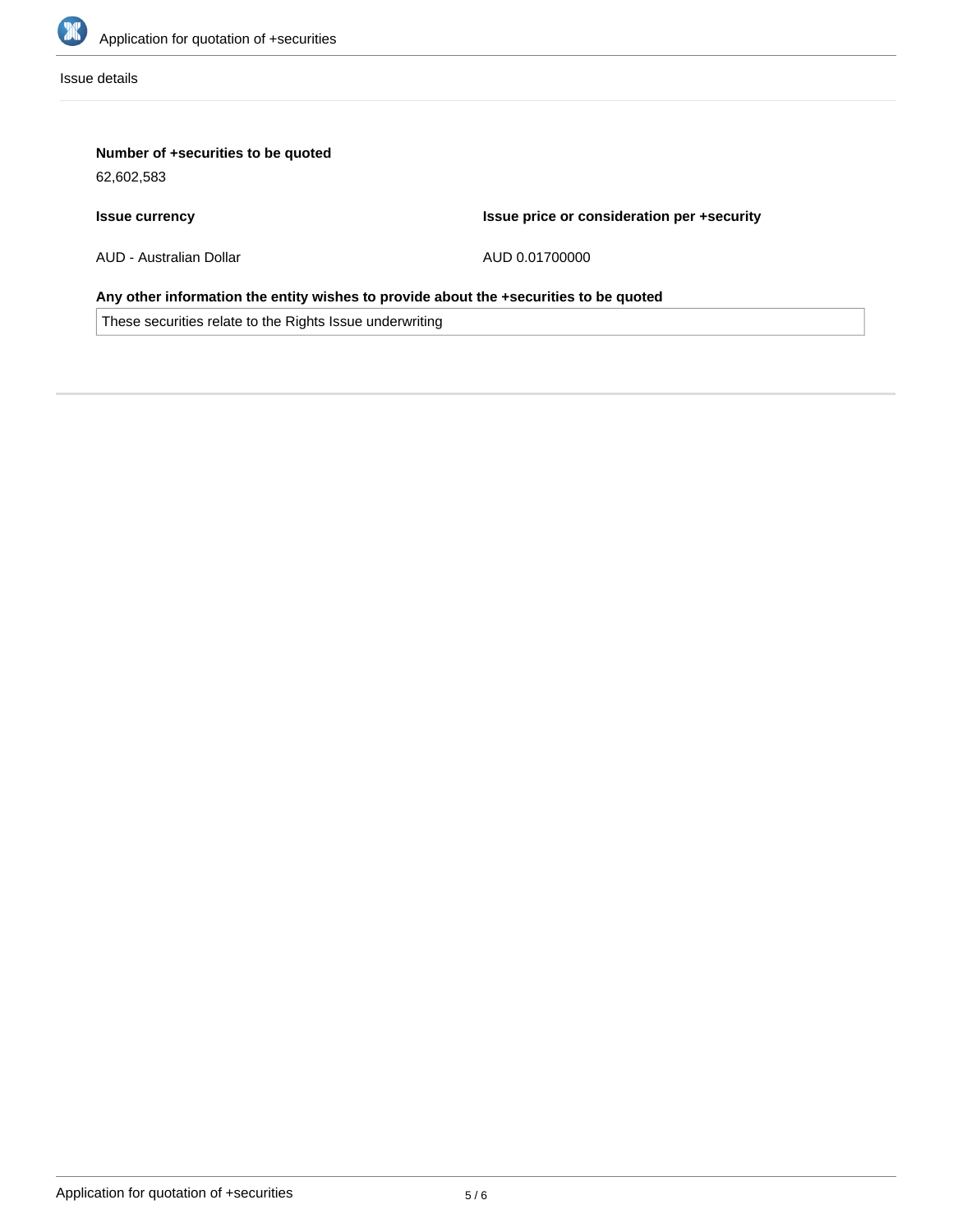

Issue details

# **Number of +securities to be quoted**

62,602,583

## **Issue currency**

**Issue price or consideration per +security**

AUD - Australian Dollar

AUD 0.01700000

# **Any other information the entity wishes to provide about the +securities to be quoted**

These securities relate to the Rights Issue underwriting